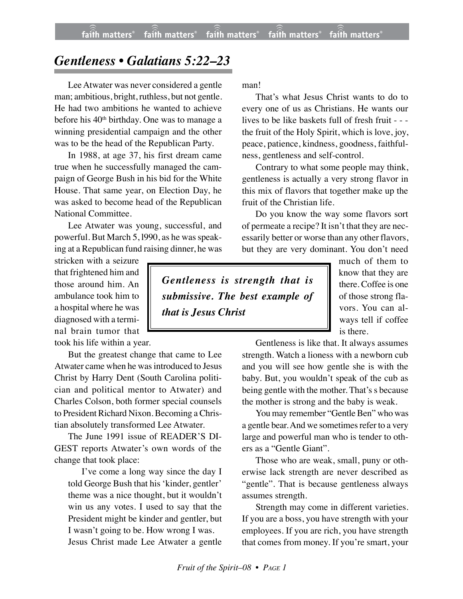## *Gentleness • Galatians 5:22–23*

Lee Atwater was never considered a gentle man; ambitious, bright, ruthless, but not gentle. He had two ambitions he wanted to achieve before his 40<sup>th</sup> birthday. One was to manage a winning presidential campaign and the other was to be the head of the Republican Party.

In 1988, at age 37, his first dream came true when he successfully managed the campaign of George Bush in his bid for the White House. That same year, on Election Day, he was asked to become head of the Republican National Committee.

Lee Atwater was young, successful, and powerful. But March 5, l990, as he was speaking at a Republican fund raising dinner, he was

stricken with a seizure that frightened him and those around him. An ambulance took him to a hospital where he was diagnosed with a terminal brain tumor that took his life within a year.

But the greatest change that came to Lee Atwater came when he was introduced to Jesus Christ by Harry Dent (South Carolina politician and political mentor to Atwater) and Charles Colson, both former special counsels to President Richard Nixon. Becoming a Christian absolutely transformed Lee Atwater.

The June 1991 issue of READER'S DI-GEST reports Atwater's own words of the change that took place:

I've come a long way since the day I told George Bush that his 'kinder, gentler' theme was a nice thought, but it wouldn't win us any votes. I used to say that the President might be kinder and gentler, but I wasn't going to be. How wrong I was. Jesus Christ made Lee Atwater a gentle

man!

That's what Jesus Christ wants to do to every one of us as Christians. He wants our lives to be like baskets full of fresh fruit - - the fruit of the Holy Spirit, which is love, joy, peace, patience, kindness, goodness, faithfulness, gentleness and self-control.

Contrary to what some people may think, gentleness is actually a very strong flavor in this mix of flavors that together make up the fruit of the Christian life.

Do you know the way some flavors sort of permeate a recipe? It isn't that they are necessarily better or worse than any other flavors, but they are very dominant. You don't need

*Gentleness is strength that is submissive. The best example of that is Jesus Christ*

much of them to know that they are there. Coffee is one of those strong flavors. You can always tell if coffee is there.

Gentleness is like that. It always assumes strength. Watch a lioness with a newborn cub and you will see how gentle she is with the baby. But, you wouldn't speak of the cub as being gentle with the mother. That's s because the mother is strong and the baby is weak.

You may remember "Gentle Ben" who was a gentle bear. And we sometimes refer to a very large and powerful man who is tender to others as a "Gentle Giant".

Those who are weak, small, puny or otherwise lack strength are never described as "gentle". That is because gentleness always assumes strength.

Strength may come in different varieties. If you are a boss, you have strength with your employees. If you are rich, you have strength that comes from money. If you're smart, your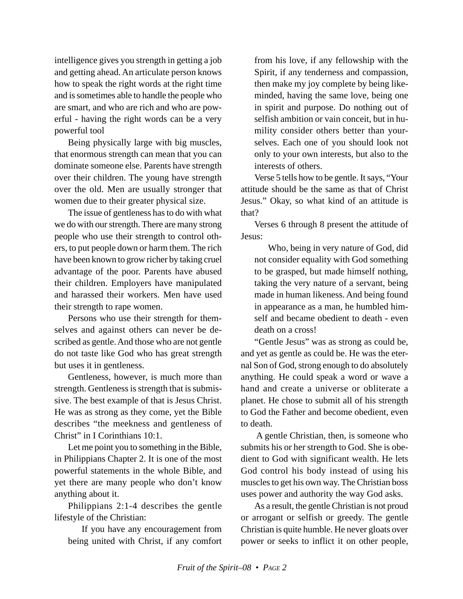intelligence gives you strength in getting a job and getting ahead. An articulate person knows how to speak the right words at the right time and is sometimes able to handle the people who are smart, and who are rich and who are powerful - having the right words can be a very powerful tool

Being physically large with big muscles, that enormous strength can mean that you can dominate someone else. Parents have strength over their children. The young have strength over the old. Men are usually stronger that women due to their greater physical size.

The issue of gentleness has to do with what we do with our strength. There are many strong people who use their strength to control others, to put people down or harm them. The rich have been known to grow richer by taking cruel advantage of the poor. Parents have abused their children. Employers have manipulated and harassed their workers. Men have used their strength to rape women.

Persons who use their strength for themselves and against others can never be described as gentle. And those who are not gentle do not taste like God who has great strength but uses it in gentleness.

Gentleness, however, is much more than strength. Gentleness is strength that is submissive. The best example of that is Jesus Christ. He was as strong as they come, yet the Bible describes "the meekness and gentleness of Christ" in I Corinthians 10:1.

Let me point you to something in the Bible, in Philippians Chapter 2. It is one of the most powerful statements in the whole Bible, and yet there are many people who don't know anything about it.

Philippians 2:1-4 describes the gentle lifestyle of the Christian:

If you have any encouragement from being united with Christ, if any comfort from his love, if any fellowship with the Spirit, if any tenderness and compassion, then make my joy complete by being likeminded, having the same love, being one in spirit and purpose. Do nothing out of selfish ambition or vain conceit, but in humility consider others better than yourselves. Each one of you should look not only to your own interests, but also to the interests of others.

Verse 5 tells how to be gentle. It says, "Your attitude should be the same as that of Christ Jesus." Okay, so what kind of an attitude is that?

Verses 6 through 8 present the attitude of Jesus:

Who, being in very nature of God, did not consider equality with God something to be grasped, but made himself nothing, taking the very nature of a servant, being made in human likeness. And being found in appearance as a man, he humbled himself and became obedient to death - even death on a cross!

"Gentle Jesus" was as strong as could be, and yet as gentle as could be. He was the eternal Son of God, strong enough to do absolutely anything. He could speak a word or wave a hand and create a universe or obliterate a planet. He chose to submit all of his strength to God the Father and become obedient, even to death.

 A gentle Christian, then, is someone who submits his or her strength to God. She is obedient to God with significant wealth. He lets God control his body instead of using his muscles to get his own way. The Christian boss uses power and authority the way God asks.

As a result, the gentle Christian is not proud or arrogant or selfish or greedy. The gentle Christian is quite humble. He never gloats over power or seeks to inflict it on other people,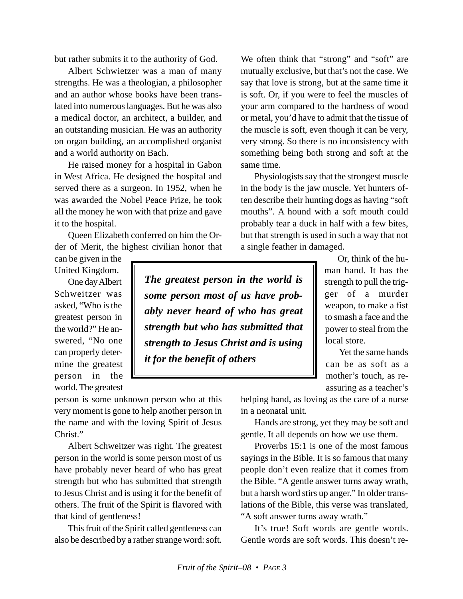but rather submits it to the authority of God.

Albert Schwietzer was a man of many strengths. He was a theologian, a philosopher and an author whose books have been translated into numerous languages. But he was also a medical doctor, an architect, a builder, and an outstanding musician. He was an authority on organ building, an accomplished organist and a world authority on Bach.

He raised money for a hospital in Gabon in West Africa. He designed the hospital and served there as a surgeon. In 1952, when he was awarded the Nobel Peace Prize, he took all the money he won with that prize and gave it to the hospital.

Queen Elizabeth conferred on him the Order of Merit, the highest civilian honor that

can be given in the United Kingdom.

One day Albert Schweitzer was asked, "Who is the greatest person in the world?" He answered, "No one can properly determine the greatest person in the world. The greatest

*The greatest person in the world is some person most of us have probably never heard of who has great strength but who has submitted that strength to Jesus Christ and is using it for the benefit of others*

We often think that "strong" and "soft" are mutually exclusive, but that's not the case. We say that love is strong, but at the same time it is soft. Or, if you were to feel the muscles of your arm compared to the hardness of wood or metal, you'd have to admit that the tissue of the muscle is soft, even though it can be very, very strong. So there is no inconsistency with something being both strong and soft at the same time.

Physiologists say that the strongest muscle in the body is the jaw muscle. Yet hunters often describe their hunting dogs as having "soft mouths". A hound with a soft mouth could probably tear a duck in half with a few bites, but that strength is used in such a way that not a single feather in damaged.

> Or, think of the human hand. It has the strength to pull the trigger of a murder weapon, to make a fist to smash a face and the power to steal from the local store.

> Yet the same hands can be as soft as a mother's touch, as reassuring as a teacher's

person is some unknown person who at this very moment is gone to help another person in the name and with the loving Spirit of Jesus Christ."

Albert Schweitzer was right. The greatest person in the world is some person most of us have probably never heard of who has great strength but who has submitted that strength to Jesus Christ and is using it for the benefit of others. The fruit of the Spirit is flavored with that kind of gentleness!

This fruit of the Spirit called gentleness can also be described by a rather strange word: soft. helping hand, as loving as the care of a nurse in a neonatal unit.

Hands are strong, yet they may be soft and gentle. It all depends on how we use them.

Proverbs 15:1 is one of the most famous sayings in the Bible. It is so famous that many people don't even realize that it comes from the Bible. "A gentle answer turns away wrath, but a harsh word stirs up anger." In older translations of the Bible, this verse was translated, "A soft answer turns away wrath."

It's true! Soft words are gentle words. Gentle words are soft words. This doesn't re